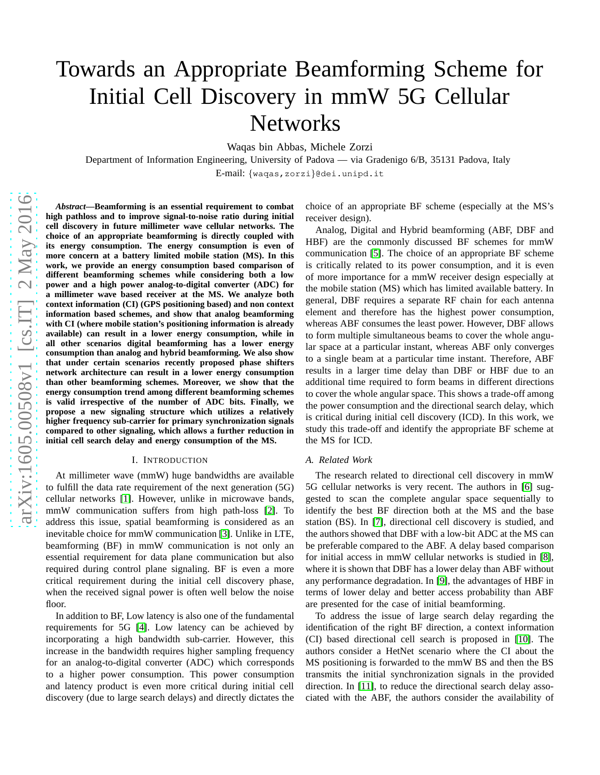# Towards an Appropriate Beamforming Scheme for Initial Cell Discovery in mmW 5G Cellular Networks

Waqas bin Abbas, Michele Zorzi

Department of Information Engineering, University of Padova — via Gradenigo 6/B, 35131 Padova, Italy

E-mail: {waqas,zorzi}@dei.unipd.it

*Abstract***—Beamforming is an essential requirement to combat high pathloss and to improve signal-to-noise ratio during initial cell discovery in future millimeter wave cellular networks. The choice of an appropriate beamforming is directly coupled with its energy consumption. The energy consumption is even of more concern at a battery limited mobile station (MS). In this work, we provide an energy consumption based comparison of different beamforming schemes while considering both a low power and a high power analog-to-digital converter (ADC) for a millimeter wave based receiver at the MS. We analyze both context information (CI) (GPS positioning based) and non context information based schemes, and show that analog beamforming with CI (where mobile station's positioning information is already available) can result in a lower energy consumption, while in all other scenarios digital beamforming has a lower energy consumption than analog and hybrid beamforming. We also show that under certain scenarios recently proposed phase shifters network architecture can result in a lower energy consumption than other beamforming schemes. Moreover, we show that the energy consumption trend among different beamforming schemes is valid irrespective of the number of ADC bits. Finally, we propose a new signaling structure which utilizes a relatively higher frequency sub-carrier for primary synchronization signals compared to other signaling, which allows a further reduction in initial cell search delay and energy consumption of the MS.**

#### I. INTRODUCTION

At millimeter wave (mmW) huge bandwidths are available to fulfill the data rate requirement of the next generation (5G) cellular networks [\[1\]](#page-6-0). However, unlike in microwave bands, mmW communication suffers from high path-loss [\[2\]](#page-6-1). To address this issue, spatial beamforming is considered as an inevitable choice for mmW communication [\[3\]](#page-6-2). Unlike in LTE, beamforming (BF) in mmW communication is not only an essential requirement for data plane communication but also required during control plane signaling. BF is even a more critical requirement during the initial cell discovery phase, when the received signal power is often well below the noise floor.

In addition to BF, Low latency is also one of the fundamental requirements for 5G [\[4\]](#page-6-3). Low latency can be achieved by incorporating a high bandwidth sub-carrier. However, this increase in the bandwidth requires higher sampling frequency for an analog-to-digital converter (ADC) which corresponds to a higher power consumption. This power consumption and latency product is even more critical during initial cell discovery (due to large search delays) and directly dictates the choice of an appropriate BF scheme (especially at the MS's receiver design).

Analog, Digital and Hybrid beamforming (ABF, DBF and HBF) are the commonly discussed BF schemes for mmW communication [\[5\]](#page-6-4). The choice of an appropriate BF scheme is critically related to its power consumption, and it is even of more importance for a mmW receiver design especially at the mobile station (MS) which has limited available battery. In general, DBF requires a separate RF chain for each antenna element and therefore has the highest power consumption, whereas ABF consumes the least power. However, DBF allows to form multiple simultaneous beams to cover the whole angular space at a particular instant, whereas ABF only converges to a single beam at a particular time instant. Therefore, ABF results in a larger time delay than DBF or HBF due to an additional time required to form beams in different directions to cover the whole angular space. This shows a trade-off among the power consumption and the directional search delay, which is critical during initial cell discovery (ICD). In this work, we study this trade-off and identify the appropriate BF scheme at the MS for ICD.

#### *A. Related Work*

The research related to directional cell discovery in mmW 5G cellular networks is very recent. The authors in [\[6\]](#page-6-5) suggested to scan the complete angular space sequentially to identify the best BF direction both at the MS and the base station (BS). In [\[7\]](#page-6-6), directional cell discovery is studied, and the authors showed that DBF with a low-bit ADC at the MS can be preferable compared to the ABF. A delay based comparison for initial access in mmW cellular networks is studied in [\[8\]](#page-6-7), where it is shown that DBF has a lower delay than ABF without any performance degradation. In [\[9\]](#page-6-8), the advantages of HBF in terms of lower delay and better access probability than ABF are presented for the case of initial beamforming.

To address the issue of large search delay regarding the identification of the right BF direction, a context information (CI) based directional cell search is proposed in [\[10\]](#page-6-9). The authors consider a HetNet scenario where the CI about the MS positioning is forwarded to the mmW BS and then the BS transmits the initial synchronization signals in the provided direction. In [\[11\]](#page-6-10), to reduce the directional search delay associated with the ABF, the authors consider the availability of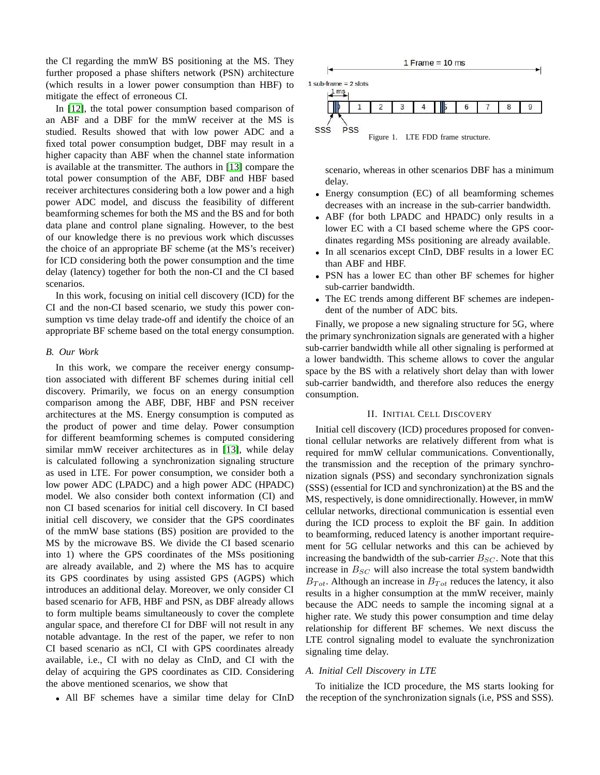the CI regarding the mmW BS positioning at the MS. They further proposed a phase shifters network (PSN) architecture (which results in a lower power consumption than HBF) to mitigate the effect of erroneous CI. PSfrag replacements

In [\[12\]](#page-6-11), the total power consumption based resumption an ABF and a DBF for the mmW receiver at the MS  $B_{SC}$ studied. Results showed that with low power  $AD<sub>n</sub>CT<sub>q</sub> + CD<sub>q</sub>$ fixed total power consumption budget, DBF may result in a higher capacity than ABF when the channel state information is available at the transmitter. The authors in [\[13\]](#page-6-12) compare the total power consumption of the ABF, DBF and HBF based receiver architectures considering both a low power and a high power ADC model, and discuss the feasibility of different beamforming schemes for both the MS and the BS and for both data plane and control plane signaling. However, to the best of our knowledge there is no previous work which discusses the choice of an appropriate BF scheme (at the MS's receiver) for ICD considering both the power consumption and the time delay (latency) together for both the non-CI and the CI based scenarios.

In this work, focusing on initial cell discovery (ICD) for the CI and the non-CI based scenario, we study this power consumption vs time delay trade-off and identify the choice of an appropriate BF scheme based on the total energy consumption.

### <span id="page-1-1"></span>*B. Our Work*

In this work, we compare the receiver energy consumption associated with different BF schemes during initial cell discovery. Primarily, we focus on an energy consumption comparison among the ABF, DBF, HBF and PSN receiver architectures at the MS. Energy consumption is computed as the product of power and time delay. Power consumption for different beamforming schemes is computed considering similar mmW receiver architectures as in [\[13\]](#page-6-12), while delay is calculated following a synchronization signaling structure as used in LTE. For power consumption, we consider both a low power ADC (LPADC) and a high power ADC (HPADC) model. We also consider both context information (CI) and non CI based scenarios for initial cell discovery. In CI based initial cell discovery, we consider that the GPS coordinates of the mmW base stations (BS) position are provided to the MS by the microwave BS. We divide the CI based scenario into 1) where the GPS coordinates of the MSs positioning are already available, and 2) where the MS has to acquire its GPS coordinates by using assisted GPS (AGPS) which introduces an additional delay. Moreover, we only consider CI based scenario for AFB, HBF and PSN, as DBF already allows to form multiple beams simultaneously to cover the complete angular space, and therefore CI for DBF will not result in any notable advantage. In the rest of the paper, we refer to non CI based scenario as nCI, CI with GPS coordinates already available, i.e., CI with no delay as CInD, and CI with the delay of acquiring the GPS coordinates as CID. Considering the above mentioned scenarios, we show that

• All BF schemes have a similar time delay for CInD



<span id="page-1-0"></span>scenario, whereas in other scenarios DBF has a minimum delay.

- Energy consumption (EC) of all beamforming schemes decreases with an increase in the sub-carrier bandwidth.
- ABF (for both LPADC and HPADC) only results in a lower EC with a CI based scheme where the GPS coordinates regarding MSs positioning are already available.
- In all scenarios except CInD, DBF results in a lower EC than ABF and HBF.
- PSN has a lower EC than other BF schemes for higher sub-carrier bandwidth.
- The EC trends among different BF schemes are independent of the number of ADC bits.

Finally, we propose a new signaling structure for 5G, where the primary synchronization signals are generated with a higher sub-carrier bandwidth while all other signaling is performed at a lower bandwidth. This scheme allows to cover the angular space by the BS with a relatively short delay than with lower sub-carrier bandwidth, and therefore also reduces the energy consumption.

# II. INITIAL CELL DISCOVERY

Initial cell discovery (ICD) procedures proposed for conventional cellular networks are relatively different from what is required for mmW cellular communications. Conventionally, the transmission and the reception of the primary synchronization signals (PSS) and secondary synchronization signals (SSS) (essential for ICD and synchronization) at the BS and the MS, respectively, is done omnidirectionally. However, in mmW cellular networks, directional communication is essential even during the ICD process to exploit the BF gain. In addition to beamforming, reduced latency is another important requirement for 5G cellular networks and this can be achieved by increasing the bandwidth of the sub-carrier  $B_{SC}$ . Note that this increase in  $B_{SC}$  will also increase the total system bandwidth  $B_{Tot}$ . Although an increase in  $B_{Tot}$  reduces the latency, it also results in a higher consumption at the mmW receiver, mainly because the ADC needs to sample the incoming signal at a higher rate. We study this power consumption and time delay relationship for different BF schemes. We next discuss the LTE control signaling model to evaluate the synchronization signaling time delay.

## *A. Initial Cell Discovery in LTE*

To initialize the ICD procedure, the MS starts looking for the reception of the synchronization signals (i.e, PSS and SSS).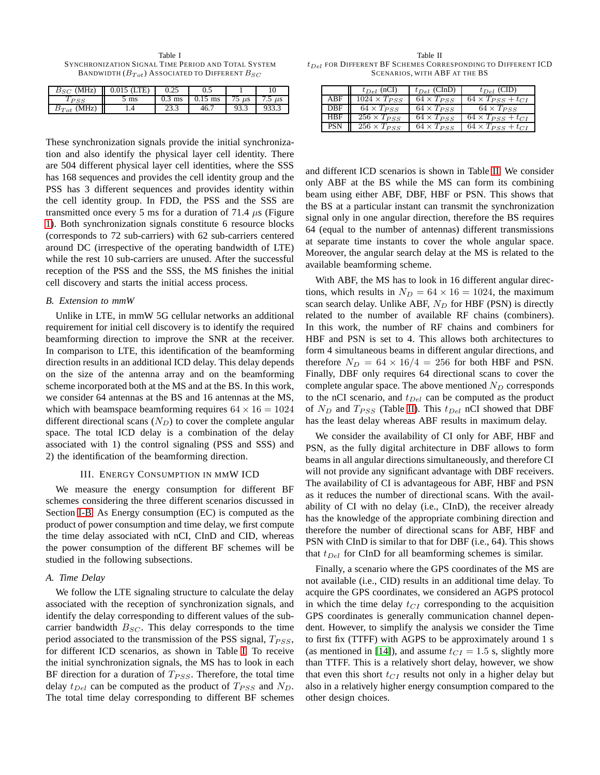<span id="page-2-0"></span>Table I SYNCHRONIZATION SIGNAL TIME PERIOD AND TOTAL SYSTEM BANDWIDTH  $(B_{Tot})$  ASSOCIATED TO DIFFERENT  $B_{SC}$ 

| $B_{SC}$ (MHz)                   | $0.015$ (LTE) |          |           |            |             |
|----------------------------------|---------------|----------|-----------|------------|-------------|
|                                  | ms            | $0.3$ ms | $0.15$ ms | $75 \mu s$ | 7.5 $\mu$ s |
| (MHz)<br>$\scriptstyle{B_{Tot}}$ | .4            |          |           | כ.כל       |             |

These synchronization signals provide the initial synchronization and also identify the physical layer cell identity. There are 504 different physical layer cell identities, where the SSS has 168 sequences and provides the cell identity group and the PSS has 3 different sequences and provides identity within the cell identity group. In FDD, the PSS and the SSS are transmitted once every 5 ms for a duration of 71.4  $\mu$ s (Figure [1\)](#page-1-0). Both synchronization signals constitute 6 resource blocks (corresponds to 72 sub-carriers) with 62 sub-carriers centered around DC (irrespective of the operating bandwidth of LTE) while the rest 10 sub-carriers are unused. After the successful reception of the PSS and the SSS, the MS finishes the initial cell discovery and starts the initial access process.

## *B. Extension to mmW*

Unlike in LTE, in mmW 5G cellular networks an additional requirement for initial cell discovery is to identify the required beamforming direction to improve the SNR at the receiver. In comparison to LTE, this identification of the beamforming direction results in an additional ICD delay. This delay depends on the size of the antenna array and on the beamforming scheme incorporated both at the MS and at the BS. In this work, we consider 64 antennas at the BS and 16 antennas at the MS, which with beamspace beamforming requires  $64 \times 16 = 1024$ different directional scans  $(N_D)$  to cover the complete angular space. The total ICD delay is a combination of the delay associated with 1) the control signaling (PSS and SSS) and 2) the identification of the beamforming direction.

#### III. ENERGY CONSUMPTION IN MMW ICD

We measure the energy consumption for different BF schemes considering the three different scenarios discussed in Section [I-B.](#page-1-1) As Energy consumption (EC) is computed as the product of power consumption and time delay, we first compute the time delay associated with nCI, CInD and CID, whereas the power consumption of the different BF schemes will be studied in the following subsections.

## <span id="page-2-2"></span>*A. Time Delay*

We follow the LTE signaling structure to calculate the delay associated with the reception of synchronization signals, and identify the delay corresponding to different values of the subcarrier bandwidth  $B_{SC}$ . This delay corresponds to the time period associated to the transmission of the PSS signal,  $T_{PSS}$ , for different ICD scenarios, as shown in Table [I.](#page-2-0) To receive the initial synchronization signals, the MS has to look in each BF direction for a duration of  $T_{PSS}$ . Therefore, the total time delay  $t_{Del}$  can be computed as the product of  $T_{PSS}$  and  $N_D$ . The total time delay corresponding to different BF schemes

<span id="page-2-1"></span>Table II  $t_{Del}$  for Different BF Schemes Corresponding to Different ICD SCENARIOS, WITH ABF AT THE BS

|            | $t_{Del}$ (nCI)       | $t_{Del}$ (CInD)               | $t_{Del}$ (CID)                         |
|------------|-----------------------|--------------------------------|-----------------------------------------|
| ABF        | $1024 \times T_{PSS}$ | $64 \times T_{PSS}$            | $64 \times T_{PSS} + t_{CI}$            |
| DBE        | $64 \times T_{PSS}$   | $64 \times T_{PSS}$            | $64 \times T_{PSS}$                     |
| HBF        | $256 \times T_{PSS}$  | $64 \times T_{PSS}$            | $64 \times T_{PSS} + t_{CI}$            |
| <b>PSN</b> | $256 \times T_{PSS}$  | $\overline{64} \times T_{PSS}$ | $\overline{64} \times T_{PSS} + t_{CI}$ |

and different ICD scenarios is shown in Table [II.](#page-2-1) We consider only ABF at the BS while the MS can form its combining beam using either ABF, DBF, HBF or PSN. This shows that the BS at a particular instant can transmit the synchronization signal only in one angular direction, therefore the BS requires 64 (equal to the number of antennas) different transmissions at separate time instants to cover the whole angular space. Moreover, the angular search delay at the MS is related to the available beamforming scheme.

With ABF, the MS has to look in 16 different angular directions, which results in  $N_D = 64 \times 16 = 1024$ , the maximum scan search delay. Unlike ABF,  $N_D$  for HBF (PSN) is directly related to the number of available RF chains (combiners). In this work, the number of RF chains and combiners for HBF and PSN is set to 4. This allows both architectures to form 4 simultaneous beams in different angular directions, and therefore  $N_D = 64 \times 16/4 = 256$  for both HBF and PSN. Finally, DBF only requires 64 directional scans to cover the complete angular space. The above mentioned  $N_D$  corresponds to the nCI scenario, and  $t_{Del}$  can be computed as the product of  $N_D$  and  $T_{PSS}$  (Table [II\)](#page-2-1). This  $t_{Del}$  nCI showed that DBF has the least delay whereas ABF results in maximum delay.

We consider the availability of CI only for ABF, HBF and PSN, as the fully digital architecture in DBF allows to form beams in all angular directions simultaneously, and therefore CI will not provide any significant advantage with DBF receivers. The availability of CI is advantageous for ABF, HBF and PSN as it reduces the number of directional scans. With the availability of CI with no delay (i.e., CInD), the receiver already has the knowledge of the appropriate combining direction and therefore the number of directional scans for ABF, HBF and PSN with CInD is similar to that for DBF (i.e., 64). This shows that  $t_{Del}$  for CInD for all beamforming schemes is similar.

Finally, a scenario where the GPS coordinates of the MS are not available (i.e., CID) results in an additional time delay. To acquire the GPS coordinates, we considered an AGPS protocol in which the time delay  $t_{CI}$  corresponding to the acquisition GPS coordinates is generally communication channel dependent. However, to simplify the analysis we consider the Time to first fix (TTFF) with AGPS to be approximately around 1 s (as mentioned in [\[14\]](#page-6-13)), and assume  $t_{CI} = 1.5$  s, slightly more than TTFF. This is a relatively short delay, however, we show that even this short  $t_{CI}$  results not only in a higher delay but also in a relatively higher energy consumption compared to the other design choices.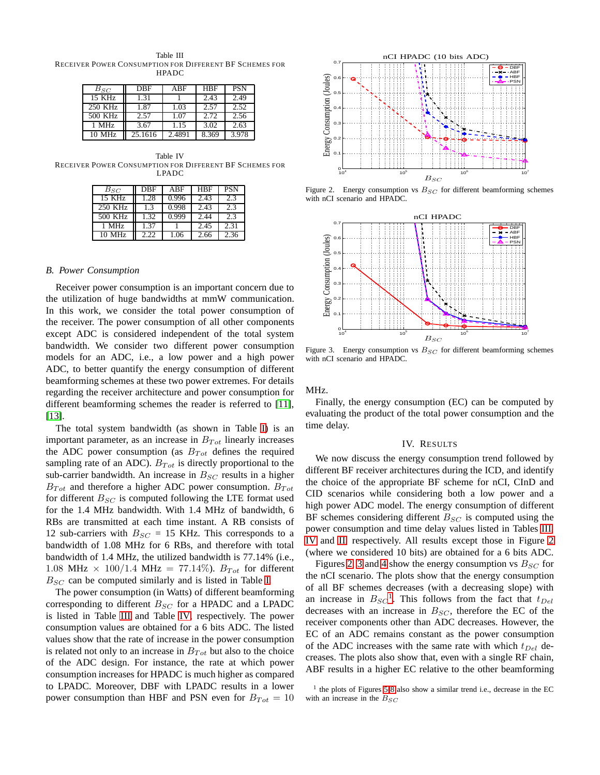<span id="page-3-0"></span>Table III RECEIVER POWER CONSUMPTION FOR DIFFERENT BF SCHEMES FOR **HPADC** 

| $B_{SC}$ | DBF     | ABF    | HBF   | <b>PSN</b> |
|----------|---------|--------|-------|------------|
| 15 KHz   | 1.31    |        | 2.43  | 2.49       |
| 250 KHz  | 1.87    | 1.03   | 2.57  | 2.52       |
| 500 KHz  | 2.57    | 1.07   | 2.72  | 2.56       |
| 1 MHz    | 3.67    | 1.15   | 3.02  | 2.63       |
| 10 MHz   | 25.1616 | 2.4891 | 8.369 | 3.978      |

<span id="page-3-1"></span>Table IV RECEIVER POWER CONSUMPTION FOR DIFFERENT BF SCHEMES FOR LPADC PSfrag replacements

| $B_{SC}$         | DBF  | ABF   | <b>HBF</b> | <b>PSN</b> |
|------------------|------|-------|------------|------------|
| 15 KHz           | 1.28 | 0.996 | 2.43       | 2.3        |
| 250 KHz          | 1.3  | 0.998 | 2.43       | 2.3        |
| 500 KHz          | 1.32 | 0.999 | 2.44       | 2.3        |
| 1 MHz            | 1.37 |       | 2.45       | 2.31       |
| $10 \text{ MHz}$ | 2.22 | 1.06  | 2.66       | 2.36       |



Figure 2. Energy consumption vs  $B_{SC}$  for different beamforming schemes with nCI scenario and HPADC.

<span id="page-3-2"></span>

*B. Power Consumption*

the utilization of huge bandwidths at mmW communication. In this work, we consider the total power consumption of the receiver. The power consumption of all other components except ADC is considered independent of the total system bandwidth. We consider two different power consumption models for an ADC, i.e., a low power and a high power ADC, to better quantify the energy consumption of different beamforming schemes at these two power extremes. For details regarding the receiver architecture and power consumption for different beamforming schemes the reader is referred to [\[11\]](#page-6-10), [\[13\]](#page-6-12).

Receiver power consumption is an important concern due to

The total system bandwidth (as shown in Table [I\)](#page-2-0) is an important parameter, as an increase in  $B_{Tot}$  linearly increases the ADC power consumption (as  $B_{Tot}$  defines the required sampling rate of an ADC).  $B_{Tot}$  is directly proportional to the sub-carrier bandwidth. An increase in  $B_{SC}$  results in a higher  $B_{Tot}$  and therefore a higher ADC power consumption.  $B_{Tot}$ for different  $B_{SC}$  is computed following the LTE format used for the 1.4 MHz bandwidth. With 1.4 MHz of bandwidth, 6 RBs are transmitted at each time instant. A RB consists of 12 sub-carriers with  $B_{SC} = 15$  KHz. This corresponds to a bandwidth of 1.08 MHz for 6 RBs, and therefore with total bandwidth of 1.4 MHz, the utilized bandwidth is 77.14% (i.e., 1.08 MHz  $\times$  100/1.4 MHz = 77.14%).  $B_{Tot}$  for different  $B_{SC}$  can be computed similarly and is listed in Table [I.](#page-2-0)

The power consumption (in Watts) of different beamforming corresponding to different  $B_{SC}$  for a HPADC and a LPADC is listed in Table [III](#page-3-0) and Table [IV,](#page-3-1) respectively. The power consumption values are obtained for a 6 bits ADC. The listed values show that the rate of increase in the power consumption is related not only to an increase in  $B_{Tot}$  but also to the choice of the ADC design. For instance, the rate at which power consumption increases for HPADC is much higher as compared to LPADC. Moreover, DBF with LPADC results in a lower power consumption than HBF and PSN even for  $B_{Tot} = 10$ 

<span id="page-3-3"></span>Figure 3. Energy consumption vs  $B_{SC}$  for different beamforming schemes with nCI scenario and HPADC.

MHz.

Finally, the energy consumption (EC) can be computed by evaluating the product of the total power consumption and the time delay.

#### IV. RESULTS

We now discuss the energy consumption trend followed by different BF receiver architectures during the ICD, and identify the choice of the appropriate BF scheme for nCI, CInD and CID scenarios while considering both a low power and a high power ADC model. The energy consumption of different BF schemes considering different  $B_{SC}$  is computed using the power consumption and time delay values listed in Tables [III,](#page-3-0) [IV](#page-3-1) and [II,](#page-2-1) respectively. All results except those in Figure [2](#page-3-2) (where we considered 10 bits) are obtained for a 6 bits ADC.

Figures [2,](#page-3-2) [3](#page-3-3) and [4](#page-4-0) show the energy consumption vs  $B_{SC}$  for the nCI scenario. The plots show that the energy consumption of all BF schemes decreases (with a decreasing slope) with an increase in  $B_{SC}$ <sup>[1](#page-3-4)</sup>. This follows from the fact that  $t_{Del}$ decreases with an increase in  $B_{SC}$ , therefore the EC of the receiver components other than ADC decreases. However, the EC of an ADC remains constant as the power consumption of the ADC increases with the same rate with which  $t_{Del}$  decreases. The plots also show that, even with a single RF chain, ABF results in a higher EC relative to the other beamforming

<span id="page-3-4"></span><sup>&</sup>lt;sup>1</sup> the plots of Figures [5-](#page-4-1)[8](#page-5-0) also show a similar trend i.e., decrease in the EC with an increase in the  $B_{SC}$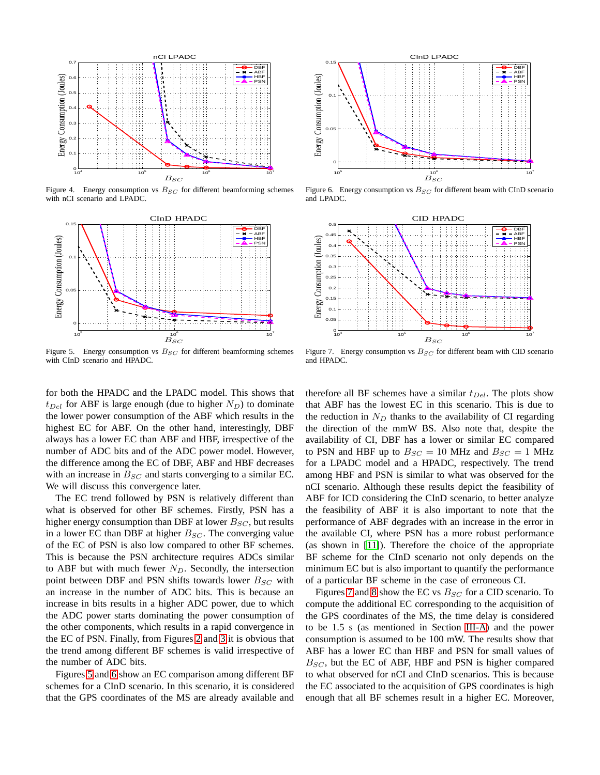

<span id="page-4-0"></span>Figure 4. Energy consumption vs  $B_{SC}$  for different beamforming schemes with nCI scenario and LPADC.



Figure 6. Energy consumption vs  $B_{SC}$  for different beam with CInD scenario and LPADC.

 $10<sup>7</sup>$ 

<span id="page-4-2"></span>

<span id="page-4-1"></span>Figure 5. Energy consumption vs  $B_{SC}$  for different beamforming schemes with CInD scenario and HPADC.

<span id="page-4-3"></span>Figure 7. Energy consumption vs  $B_{SC}$  for different beam with CID scenario and HPADC.

for both the HPADC and the LPADC model. This shows that  $t_{Del}$  for ABF is large enough (due to higher  $N_D$ ) to dominate the lower power consumption of the ABF which results in the highest EC for ABF. On the other hand, interestingly, DBF always has a lower EC than ABF and HBF, irrespective of the number of ADC bits and of the ADC power model. However, the difference among the EC of DBF, ABF and HBF decreases with an increase in  $B_{SC}$  and starts converging to a similar EC. We will discuss this convergence later.

The EC trend followed by PSN is relatively different than what is observed for other BF schemes. Firstly, PSN has a higher energy consumption than DBF at lower  $B_{SC}$ , but results in a lower EC than DBF at higher  $B_{SC}$ . The converging value of the EC of PSN is also low compared to other BF schemes. This is because the PSN architecture requires ADCs similar to ABF but with much fewer  $N_D$ . Secondly, the intersection point between DBF and PSN shifts towards lower  $B_{SC}$  with an increase in the number of ADC bits. This is because an increase in bits results in a higher ADC power, due to which the ADC power starts dominating the power consumption of the other components, which results in a rapid convergence in the EC of PSN. Finally, from Figures [2](#page-3-2) and [3](#page-3-3) it is obvious that the trend among different BF schemes is valid irrespective of the number of ADC bits.

Figures [5](#page-4-1) and [6](#page-4-2) show an EC comparison among different BF schemes for a CInD scenario. In this scenario, it is considered that the GPS coordinates of the MS are already available and therefore all BF schemes have a similar  $t_{Del}$ . The plots show that ABF has the lowest EC in this scenario. This is due to the reduction in  $N_D$  thanks to the availability of CI regarding the direction of the mmW BS. Also note that, despite the availability of CI, DBF has a lower or similar EC compared to PSN and HBF up to  $B_{SC} = 10$  MHz and  $B_{SC} = 1$  MHz for a LPADC model and a HPADC, respectively. The trend among HBF and PSN is similar to what was observed for the nCI scenario. Although these results depict the feasibility of ABF for ICD considering the CInD scenario, to better analyze the feasibility of ABF it is also important to note that the performance of ABF degrades with an increase in the error in the available CI, where PSN has a more robust performance (as shown in [\[11\]](#page-6-10)). Therefore the choice of the appropriate BF scheme for the CInD scenario not only depends on the minimum EC but is also important to quantify the performance of a particular BF scheme in the case of erroneous CI.

Figures [7](#page-4-3) and [8](#page-5-0) show the EC vs  $B_{SC}$  for a CID scenario. To compute the additional EC corresponding to the acquisition of the GPS coordinates of the MS, the time delay is considered to be 1.5 s (as mentioned in Section [III-A\)](#page-2-2) and the power consumption is assumed to be 100 mW. The results show that ABF has a lower EC than HBF and PSN for small values of  $B_{SC}$ , but the EC of ABF, HBF and PSN is higher compared to what observed for nCI and CInD scenarios. This is because the EC associated to the acquisition of GPS coordinates is high enough that all BF schemes result in a higher EC. Moreover,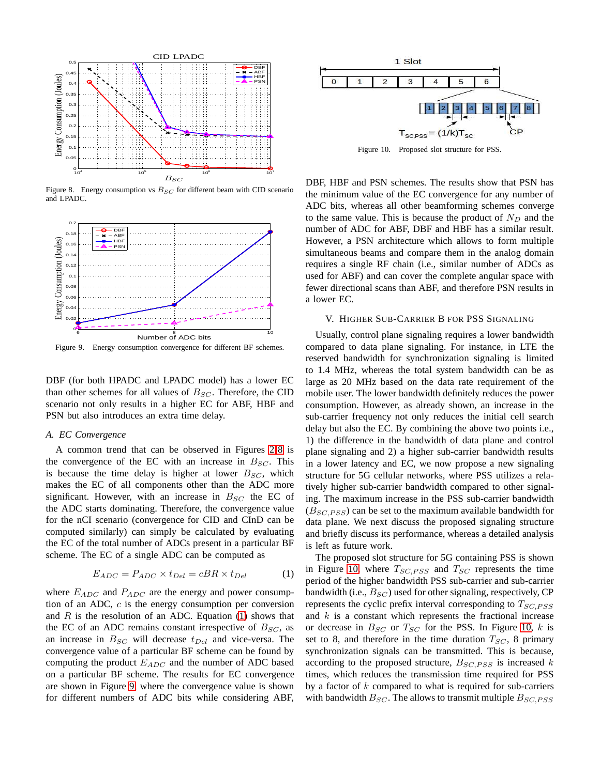

<span id="page-5-0"></span>Figure 8. Energy consumption vs  $B_{SC}$  for different beam with CID scenario and LPADC.



<span id="page-5-2"></span>DBF (for both HPADC and LPADC model) has a lower EC than other schemes for all values of  $B_{SC}$ . Therefore, the CID scenario not only results in a higher EC for ABF, HBF and PSN but also introduces an extra time delay.

## *A. EC Convergence*

A common trend that can be observed in Figures [2-](#page-3-2)[8](#page-5-0) is the convergence of the EC with an increase in  $B_{SC}$ . This is because the time delay is higher at lower  $B_{SC}$ , which makes the EC of all components other than the ADC more significant. However, with an increase in  $B_{SC}$  the EC of the ADC starts dominating. Therefore, the convergence value for the nCI scenario (convergence for CID and CInD can be computed similarly) can simply be calculated by evaluating the EC of the total number of ADCs present in a particular BF scheme. The EC of a single ADC can be computed as

<span id="page-5-1"></span>
$$
E_{ADC} = P_{ADC} \times t_{Del} = cBR \times t_{Del} \tag{1}
$$

where  $E_{ADC}$  and  $P_{ADC}$  are the energy and power consumption of an ADC,  $c$  is the energy consumption per conversion and  $R$  is the resolution of an ADC. Equation [\(1\)](#page-5-1) shows that the EC of an ADC remains constant irrespective of  $B_{SC}$ , as an increase in  $B_{SC}$  will decrease  $t_{Del}$  and vice-versa. The convergence value of a particular BF scheme can be found by computing the product  $E_{ADC}$  and the number of ADC based on a particular BF scheme. The results for EC convergence are shown in Figure [9,](#page-5-2) where the convergence value is shown for different numbers of ADC bits while considering ABF,



<span id="page-5-3"></span>Figure 10. Proposed slot structure for PSS.

DBF, HBF and PSN schemes. The results show that PSN has the minimum value of the EC convergence for any number of ADC bits, whereas all other beamforming schemes converge to the same value. This is because the product of  $N_D$  and the number of ADC for ABF, DBF and HBF has a similar result. However, a PSN architecture which allows to form multiple simultaneous beams and compare them in the analog domain requires a single RF chain (i.e., similar number of ADCs as used for ABF) and can cover the complete angular space with fewer directional scans than ABF, and therefore PSN results in a lower EC.

# V. HIGHER SUB-CARRIER B FOR PSS SIGNALING

Usually, control plane signaling requires a lower bandwidth compared to data plane signaling. For instance, in LTE the reserved bandwidth for synchronization signaling is limited to 1.4 MHz, whereas the total system bandwidth can be as large as 20 MHz based on the data rate requirement of the mobile user. The lower bandwidth definitely reduces the power consumption. However, as already shown, an increase in the sub-carrier frequency not only reduces the initial cell search delay but also the EC. By combining the above two points i.e., 1) the difference in the bandwidth of data plane and control plane signaling and 2) a higher sub-carrier bandwidth results in a lower latency and EC, we now propose a new signaling structure for 5G cellular networks, where PSS utilizes a relatively higher sub-carrier bandwidth compared to other signaling. The maximum increase in the PSS sub-carrier bandwidth  $(B_{SC, PSS})$  can be set to the maximum available bandwidth for data plane. We next discuss the proposed signaling structure and briefly discuss its performance, whereas a detailed analysis is left as future work.

The proposed slot structure for 5G containing PSS is shown in Figure [10,](#page-5-3) where  $T_{SC, PSS}$  and  $T_{SC}$  represents the time period of the higher bandwidth PSS sub-carrier and sub-carrier bandwidth (i.e.,  $B_{SC}$ ) used for other signaling, respectively, CP represents the cyclic prefix interval corresponding to  $T_{SC,PSS}$ and  $k$  is a constant which represents the fractional increase or decrease in  $B_{SC}$  or  $T_{SC}$  for the PSS. In Figure [10,](#page-5-3) k is set to 8, and therefore in the time duration  $T_{SC}$ , 8 primary synchronization signals can be transmitted. This is because, according to the proposed structure,  $B_{SC,PSS}$  is increased k times, which reduces the transmission time required for PSS by a factor of  $k$  compared to what is required for sub-carriers with bandwidth  $B_{SC}$ . The allows to transmit multiple  $B_{SC,PSS}$